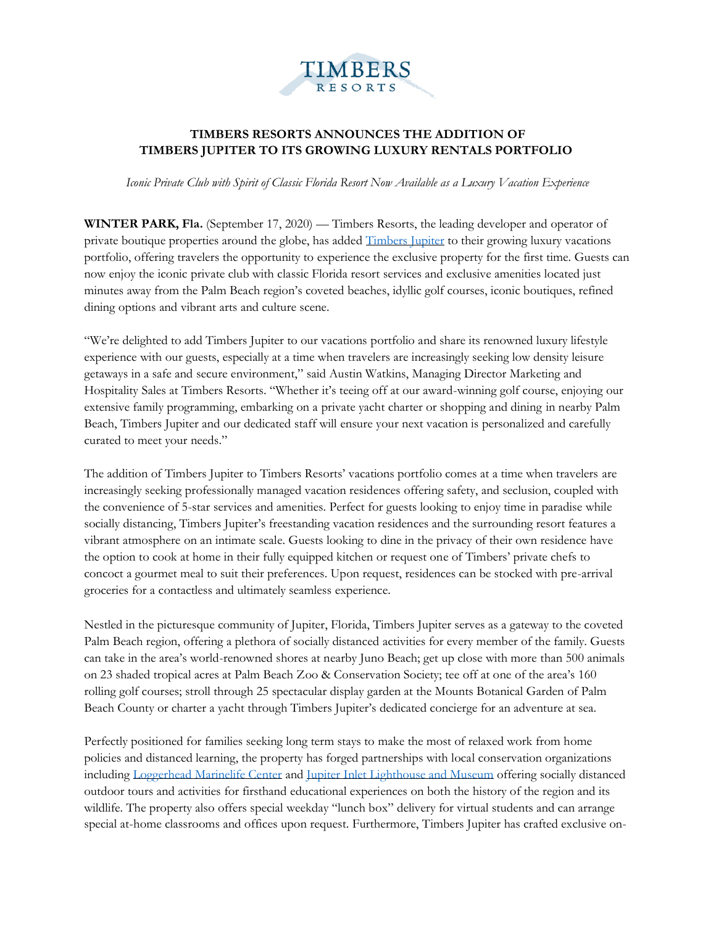

## **TIMBERS RESORTS ANNOUNCES THE ADDITION OF TIMBERS JUPITER TO ITS GROWING LUXURY RENTALS PORTFOLIO**

*Iconic Private Club with Spirit of Classic Florida Resort Now Available as a Luxury Vacation Experience* 

**WINTER PARK, Fla.** (September 17, 2020) — Timbers Resorts, the leading developer and operator of private boutique properties around the globe, has added [Timbers Jupiter](https://www.timbersjupiter.com/) to their growing luxury vacations portfolio, offering travelers the opportunity to experience the exclusive property for the first time. Guests can now enjoy the iconic private club with classic Florida resort services and exclusive amenities located just minutes away from the Palm Beach region's coveted beaches, idyllic golf courses, iconic boutiques, refined dining options and vibrant arts and culture scene.

"We're delighted to add Timbers Jupiter to our vacations portfolio and share its renowned luxury lifestyle experience with our guests, especially at a time when travelers are increasingly seeking low density leisure getaways in a safe and secure environment," said Austin Watkins, Managing Director Marketing and Hospitality Sales at Timbers Resorts. "Whether it's teeing off at our award-winning golf course, enjoying our extensive family programming, embarking on a private yacht charter or shopping and dining in nearby Palm Beach, Timbers Jupiter and our dedicated staff will ensure your next vacation is personalized and carefully curated to meet your needs."

The addition of Timbers Jupiter to Timbers Resorts' vacations portfolio comes at a time when travelers are increasingly seeking professionally managed vacation residences offering safety, and seclusion, coupled with the convenience of 5-star services and amenities. Perfect for guests looking to enjoy time in paradise while socially distancing, Timbers Jupiter's freestanding vacation residences and the surrounding resort features a vibrant atmosphere on an intimate scale. Guests looking to dine in the privacy of their own residence have the option to cook at home in their fully equipped kitchen or request one of Timbers' private chefs to concoct a gourmet meal to suit their preferences. Upon request, residences can be stocked with pre-arrival groceries for a contactless and ultimately seamless experience.

Nestled in the picturesque community of Jupiter, Florida, Timbers Jupiter serves as a gateway to the coveted Palm Beach region, offering a plethora of socially distanced activities for every member of the family. Guests can take in the area's world-renowned shores at nearby Juno Beach; get up close with more than 500 animals on 23 shaded tropical acres at Palm Beach Zoo & Conservation Society; tee off at one of the area's 160 rolling golf courses; stroll through 25 spectacular display garden at the Mounts Botanical Garden of Palm Beach County or charter a yacht through Timbers Jupiter's dedicated concierge for an adventure at sea.

Perfectly positioned for families seeking long term stays to make the most of relaxed work from home policies and distanced learning, the property has forged partnerships with local conservation organizations including [Loggerhead Marinelife Center](https://marinelife.org/) and [Jupiter Inlet Lighthouse and Museum](https://www.jupiterlighthouse.org/) offering socially distanced outdoor tours and activities for firsthand educational experiences on both the history of the region and its wildlife. The property also offers special weekday "lunch box" delivery for virtual students and can arrange special at-home classrooms and offices upon request. Furthermore, Timbers Jupiter has crafted exclusive on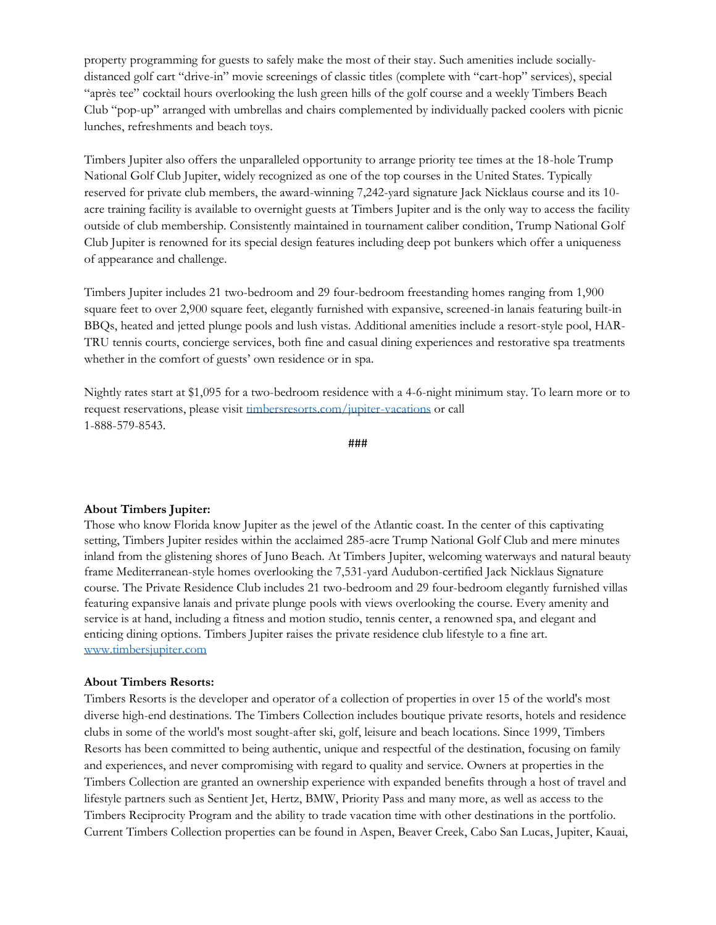property programming for guests to safely make the most of their stay. Such amenities include sociallydistanced golf cart "drive-in" movie screenings of classic titles (complete with "cart-hop" services), special "après tee" cocktail hours overlooking the lush green hills of the golf course and a weekly Timbers Beach Club "pop-up" arranged with umbrellas and chairs complemented by individually packed coolers with picnic lunches, refreshments and beach toys.

Timbers Jupiter also offers the unparalleled opportunity to arrange priority tee times at the 18-hole Trump National Golf Club Jupiter, widely recognized as one of the top courses in the United States. Typically reserved for private club members, the award-winning 7,242-yard signature Jack Nicklaus course and its 10 acre training facility is available to overnight guests at Timbers Jupiter and is the only way to access the facility outside of club membership. Consistently maintained in tournament caliber condition, Trump National Golf Club Jupiter is renowned for its special design features including deep pot bunkers which offer a uniqueness of appearance and challenge.

Timbers Jupiter includes 21 two-bedroom and 29 four-bedroom freestanding homes ranging from 1,900 square feet to over 2,900 square feet, elegantly furnished with expansive, screened-in lanais featuring built-in BBQs, heated and jetted plunge pools and lush vistas. Additional amenities include a resort-style pool, HAR-TRU tennis courts, concierge services, both fine and casual dining experiences and restorative spa treatments whether in the comfort of guests' own residence or in spa.

Nightly rates start at \$1,095 for a two-bedroom residence with a 4-6-night minimum stay. To learn more or to request reservations, please visit [timbersresorts.com/jupiter-vacations](https://www.timbersresorts.com/jupiter-vacations) or call 1-888-579-8543.

###

## **About Timbers Jupiter:**

Those who know Florida know Jupiter as the jewel of the Atlantic coast. In the center of this captivating setting, Timbers Jupiter resides within the acclaimed 285-acre Trump National Golf Club and mere minutes inland from the glistening shores of Juno Beach. At Timbers Jupiter, welcoming waterways and natural beauty frame Mediterranean-style homes overlooking the 7,531-yard Audubon-certified Jack Nicklaus Signature course. The Private Residence Club includes 21 two-bedroom and 29 four-bedroom elegantly furnished villas featuring expansive lanais and private plunge pools with views overlooking the course. Every amenity and service is at hand, including a fitness and motion studio, tennis center, a renowned spa, and elegant and enticing dining options. Timbers Jupiter raises the private residence club lifestyle to a fine art. [www.timbersjupiter.com](http://www.timbersjupiter.com/)

## **About Timbers Resorts:**

Timbers Resorts is the developer and operator of a collection of properties in over 15 of the world's most diverse high-end destinations. The Timbers Collection includes boutique private resorts, hotels and residence clubs in some of the world's most sought-after ski, golf, leisure and beach locations. Since 1999, Timbers Resorts has been committed to being authentic, unique and respectful of the destination, focusing on family and experiences, and never compromising with regard to quality and service. Owners at properties in the Timbers Collection are granted an ownership experience with expanded benefits through a host of travel and lifestyle partners such as Sentient Jet, Hertz, BMW, Priority Pass and many more, as well as access to the Timbers Reciprocity Program and the ability to trade vacation time with other destinations in the portfolio. Current Timbers Collection properties can be found in Aspen, Beaver Creek, Cabo San Lucas, Jupiter, Kauai,